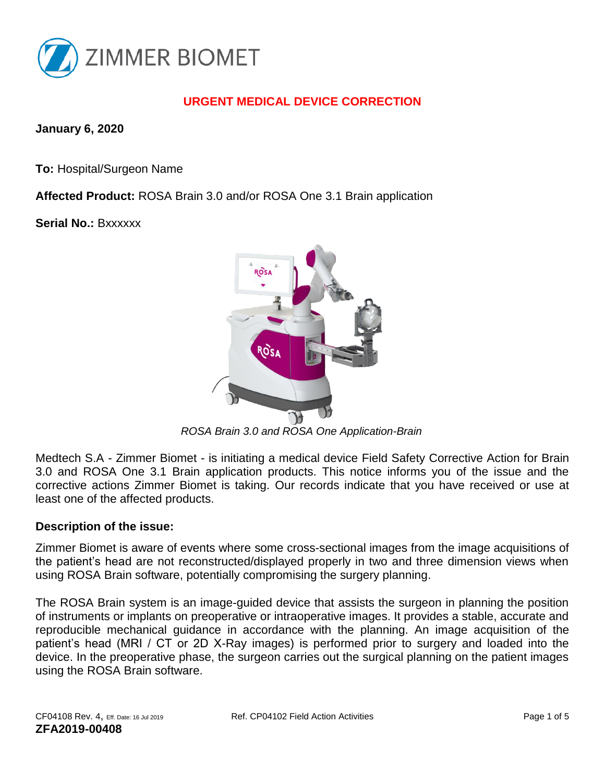

# **URGENT MEDICAL DEVICE CORRECTION**

**January 6, 2020**

**To:** Hospital/Surgeon Name

**Affected Product:** ROSA Brain 3.0 and/or ROSA One 3.1 Brain application

**Serial No.:** Bxxxxxx



 *ROSA Brain 3.0 and ROSA One Application-Brain* 

Medtech S.A - Zimmer Biomet - is initiating a medical device Field Safety Corrective Action for Brain 3.0 and ROSA One 3.1 Brain application products. This notice informs you of the issue and the corrective actions Zimmer Biomet is taking. Our records indicate that you have received or use at least one of the affected products.

#### **Description of the issue:**

Zimmer Biomet is aware of events where some cross-sectional images from the image acquisitions of the patient's head are not reconstructed/displayed properly in two and three dimension views when using ROSA Brain software, potentially compromising the surgery planning.

The ROSA Brain system is an image-guided device that assists the surgeon in planning the position of instruments or implants on preoperative or intraoperative images. It provides a stable, accurate and reproducible mechanical guidance in accordance with the planning. An image acquisition of the patient's head (MRI / CT or 2D X-Ray images) is performed prior to surgery and loaded into the device. In the preoperative phase, the surgeon carries out the surgical planning on the patient images using the ROSA Brain software.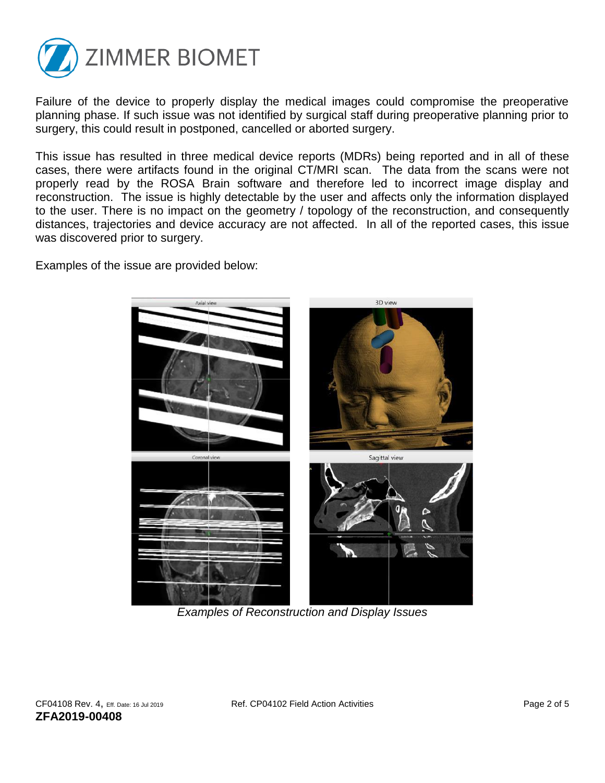

Failure of the device to properly display the medical images could compromise the preoperative planning phase. If such issue was not identified by surgical staff during preoperative planning prior to surgery, this could result in postponed, cancelled or aborted surgery.

This issue has resulted in three medical device reports (MDRs) being reported and in all of these cases, there were artifacts found in the original CT/MRI scan. The data from the scans were not properly read by the ROSA Brain software and therefore led to incorrect image display and reconstruction. The issue is highly detectable by the user and affects only the information displayed to the user. There is no impact on the geometry / topology of the reconstruction, and consequently distances, trajectories and device accuracy are not affected. In all of the reported cases, this issue was discovered prior to surgery.

Examples of the issue are provided below:



*Examples of Reconstruction and Display Issues*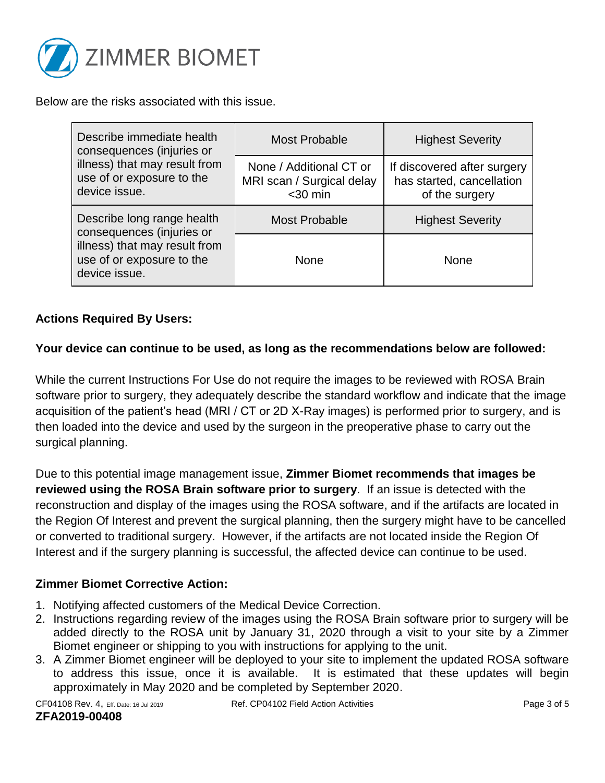

Below are the risks associated with this issue.

| Describe immediate health<br>consequences (injuries or<br>illness) that may result from<br>use of or exposure to the<br>device issue.  | Most Probable                                                      | <b>Highest Severity</b>                                                    |
|----------------------------------------------------------------------------------------------------------------------------------------|--------------------------------------------------------------------|----------------------------------------------------------------------------|
|                                                                                                                                        | None / Additional CT or<br>MRI scan / Surgical delay<br>$<$ 30 min | If discovered after surgery<br>has started, cancellation<br>of the surgery |
| Describe long range health<br>consequences (injuries or<br>illness) that may result from<br>use of or exposure to the<br>device issue. | <b>Most Probable</b>                                               | <b>Highest Severity</b>                                                    |
|                                                                                                                                        | None                                                               | None                                                                       |

#### **Actions Required By Users:**

#### **Your device can continue to be used, as long as the recommendations below are followed:**

While the current Instructions For Use do not require the images to be reviewed with ROSA Brain software prior to surgery, they adequately describe the standard workflow and indicate that the image acquisition of the patient's head (MRI / CT or 2D X-Ray images) is performed prior to surgery, and is then loaded into the device and used by the surgeon in the preoperative phase to carry out the surgical planning.

Due to this potential image management issue, **Zimmer Biomet recommends that images be reviewed using the ROSA Brain software prior to surgery**. If an issue is detected with the reconstruction and display of the images using the ROSA software, and if the artifacts are located in the Region Of Interest and prevent the surgical planning, then the surgery might have to be cancelled or converted to traditional surgery. However, if the artifacts are not located inside the Region Of Interest and if the surgery planning is successful, the affected device can continue to be used.

#### **Zimmer Biomet Corrective Action:**

- 1. Notifying affected customers of the Medical Device Correction.
- 2. Instructions regarding review of the images using the ROSA Brain software prior to surgery will be added directly to the ROSA unit by January 31, 2020 through a visit to your site by a Zimmer Biomet engineer or shipping to you with instructions for applying to the unit.
- 3. A Zimmer Biomet engineer will be deployed to your site to implement the updated ROSA software to address this issue, once it is available. It is estimated that these updates will begin approximately in May 2020 and be completed by September 2020.

**ZFA2019-00408**

CF04108 Rev. 4, Eff. Date: 16 Jul 2019 Ref. CP04102 Field Action Activities Page 3 of 5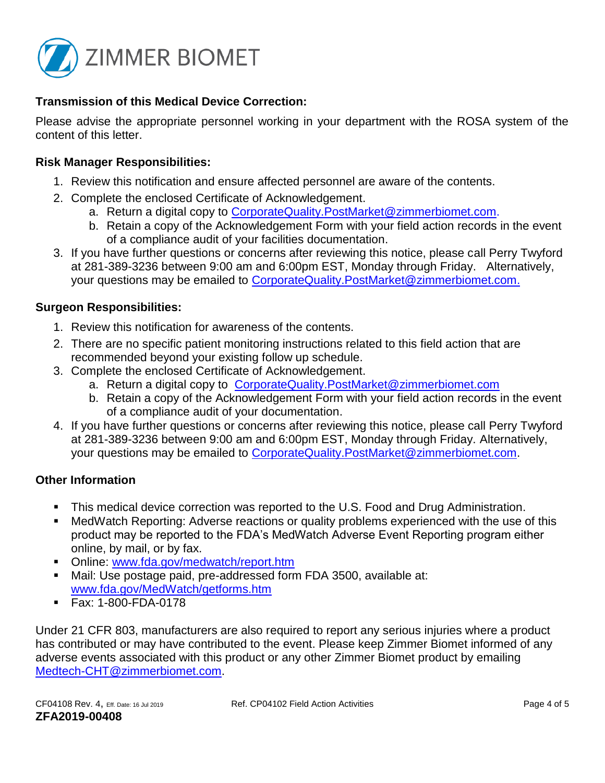

## **Transmission of this Medical Device Correction:**

Please advise the appropriate personnel working in your department with the ROSA system of the content of this letter.

### **Risk Manager Responsibilities:**

- 1. Review this notification and ensure affected personnel are aware of the contents.
- 2. Complete the enclosed Certificate of Acknowledgement.
	- a. Return a digital copy to CorporateQuality.PostMarket@zimmerbiomet.com.
	- b. Retain a copy of the Acknowledgement Form with your field action records in the event of a compliance audit of your facilities documentation.
- 3. If you have further questions or concerns after reviewing this notice, please call Perry Twyford at 281-389-3236 between 9:00 am and 6:00pm EST, Monday through Friday. Alternatively, your questions may be emailed to [CorporateQuality.PostMarket@zimmerbiomet.com.](mailto:CorporateQuality.PostMarket@zimmerbiomet.com)

### **Surgeon Responsibilities:**

- 1. Review this notification for awareness of the contents.
- 2. There are no specific patient monitoring instructions related to this field action that are recommended beyond your existing follow up schedule.
- 3. Complete the enclosed Certificate of Acknowledgement.
	- a. Return a digital copy to [CorporateQuality.PostMarket@zimmerbiomet.com](mailto:CorporateQuality.PostMarket@zimmerbiomet.com)
	- b. Retain a copy of the Acknowledgement Form with your field action records in the event of a compliance audit of your documentation.
- 4. If you have further questions or concerns after reviewing this notice, please call Perry Twyford at 281-389-3236 between 9:00 am and 6:00pm EST, Monday through Friday. Alternatively, your questions may be emailed to [CorporateQuality.PostMarket@zimmerbiomet.com.](mailto:CorporateQuality.PostMarket@zimmerbiomet.com)

## **Other Information**

- This medical device correction was reported to the U.S. Food and Drug Administration.
- MedWatch Reporting: Adverse reactions or quality problems experienced with the use of this product may be reported to the FDA's MedWatch Adverse Event Reporting program either online, by mail, or by fax.
- Online: [www.fda.gov/medwatch/report.htm](http://www.fda.gov/medwatch/report.htm)
- Mail: Use postage paid, pre-addressed form FDA 3500, available at: [www.fda.gov/MedWatch/getforms.htm](http://www.fda.gov/MedWatch/getforms.htm)
- Fax: 1-800-FDA-0178

Under 21 CFR 803, manufacturers are also required to report any serious injuries where a product has contributed or may have contributed to the event. Please keep Zimmer Biomet informed of any adverse events associated with this product or any other Zimmer Biomet product by emailing [Medtech-CHT@zimmerbiomet.com.](file:///C:/Users/guillonm/AppData/Local/Microsoft/Windows/INetCache/Content.Outlook/T0VF9KS7/Medtech-CHT@zimmerbiomet.com)